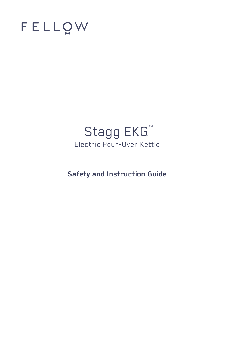

# Stagg EKG<sup>"</sup> Electric Pour-Over Kettle

**Safety and Instruction Guide**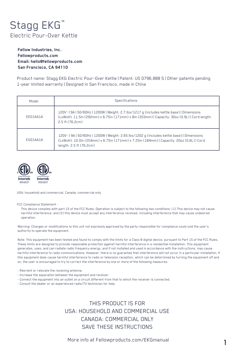## Stagg EKG<sup>"</sup> Electric Pour-Over Kettle

**Fellow Industries, Inc. Fellowproducts.com Email: hello@fellowproducts.com San Francisco, CA 94110**

Product name: Stagg EKG Electric Pour-Over Kettle | Patent: US D796,888 S | Other patents pending 1-year limited warranty | Designed in San Francisco, made in China

| Model    | Specifications                                                                                                                                                                                                  |  |
|----------|-----------------------------------------------------------------------------------------------------------------------------------------------------------------------------------------------------------------|--|
| FF01AA1A | 120V~   9A   50/60Hz   1200W   Weight: 2.7 lbs/1217 g (includes kettle base)   Dimensions<br>(LxWxH): 11.5in (292mm) x 6.75in (171mm) x 8in (203mm)   Capacity: 30oz (0.9L)   Cord length:<br>2.5 ft (76.2cm)   |  |
| FS01AA1A | 120V~ 9A   50/60Hz   1200W   Weight: 2.65 lbs/1202 g (includes kettle base)   Dimensions<br>(LxWxH): 10.0in (254mm) x 6.75in (171mm) x 7.25in (184mm)   Capacity: 20oz (0.6L)   Cord<br>length: 2.5 ft (76.2cm) |  |



USA: household and commercial, Canada: commercial only

FCC Compliance Statement -

This device complies with part 15 of the FCC Rules. Operation is subject to the following two conditions: (1) This device may not cause harmful interference, and (2) this device must accept any interference received, including interference that may cause undesired operation.

Warning: Changes or modifications to this unit not expressly approved by the party responsible for compliance could void the user's authority to operate the equipment.

Note: This equipment has been tested and found to comply with the limits for a Class B digital device, pursuant to Part 15 of the FCC Rules. These limits are designed to provide reasonable protection against harmful interference in a residential installation. This equipment generates, uses, and can radiate radio frequency energy, and if not installed and used in accordance with the instructions, may cause harmful interference to radio communications. However, there is no guarantee that interference will not occur in a particular installation. If this equipment does cause harmful interference to radio or television reception, which can be determined by turning the equipment off and on, the user is encouraged to try to correct the interference by one or more of the following measures:

- Reorient or relocate the receiving antenna.
- Increase the separation between the equipment and receiver.
- Connect the equipment into an outlet on a circuit different from that to which the receiver is connected.
- Consult the dealer or an experienced radio/TV technician for help.

THIS PRODUCT IS FOR USA: HOUSEHOLD AND COMMERCIAL USE CANADA: COMMERCIAL ONLY SAVE THESE INSTRUCTIONS

More info at Fellowproducts.com/EKGmanual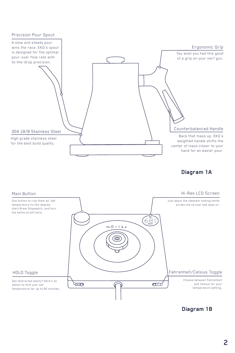





**Diagram 1B**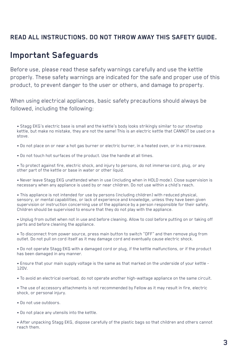## **READ ALL INSTRUCTIONS. DO NOT THROW AWAY THIS SAFETY GUIDE.**

## **Important Safeguards**

Before use, please read these safety warnings carefully and use the kettle properly. These safety warnings are indicated for the safe and proper use of this product, to prevent danger to the user or others, and damage to property.

When using electrical appliances, basic safety precautions should always be followed, including the following:

• Stagg EKG's electric base is small and the kettle's body looks strikingly similar to our stovetop kettle, but make no mistake, they are not the same! This is an electric kettle that CANNOT be used on a stove.

- Do not place on or near a hot gas burner or electric burner, in a heated oven, or in a microwave.
- Do not touch hot surfaces of the product. Use the handle at all times.

• To protect against fire, electric shock, and injury to persons, do not immerse cord, plug, or any other part of the kettle or base in water or other liquid.

• Never leave Stagg EKG unattended when in use (including when in HOLD mode). Close supervision is necessary when any appliance is used by or near children. Do not use within a child's reach.

• This appliance is not intended for use by persons (including children) with reduced physical, sensory, or mental capabilities, or lack of experience and knowledge, unless they have been given supervision or instruction concerning use of the appliance by a person responsible for their safety. Children should be supervised to ensure that they do not play with the appliance.

• Unplug from outlet when not in use and before cleaning. Allow to cool before putting on or taking off parts and before cleaning the appliance.

• To disconnect from power source, press main button to switch "OFF" and then remove plug from outlet. Do not pull on cord itself as it may damage cord and eventually cause electric shock.

• Do not operate Stagg EKG with a damaged cord or plug, if the kettle malfunctions, or if the product has been damaged in any manner.

• Ensure that your main supply voltage is the same as that marked on the underside of your kettle - 120V.

• To avoid an electrical overload, do not operate another high-wattage appliance on the same circuit.

• The use of accessory attachments is not recommended by Fellow as it may result in fire, electric shock, or personal injury.

• Do not use outdoors.

• Do not place any utensils into the kettle.

• After unpacking Stagg EKG, dispose carefully of the plastic bags so that children and others cannot reach them.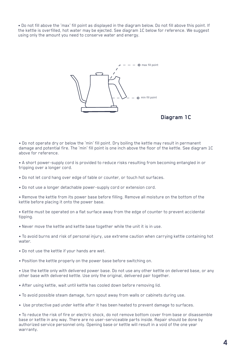• Do not fill above the 'max' fill point as displayed in the diagram below. Do not fill above this point. If the kettle is overfilled, hot water may be ejected. See diagram 1C below for reference. We suggest using only the amount you need to conserve water and energy.



**Diagram 1C**

• Do not operate dry or below the 'min' fill point. Dry boiling the kettle may result in permanent damage and potential fire. The 'min' fill point is one inch above the floor of the kettle. See diagram 1C above for reference.

• A short power-supply cord is provided to reduce risks resulting from becoming entangled in or tripping over a longer cord.

- Do not let cord hang over edge of table or counter, or touch hot surfaces.
- Do not use a longer detachable power-supply cord or extension cord.

• Remove the kettle from its power base before filling. Remove all moisture on the bottom of the kettle before placing it onto the power base.

• Kettle must be operated on a flat surface away from the edge of counter to prevent accidental tipping.

• Never move the kettle and kettle base together while the unit it is in use.

• To avoid burns and risk of personal injury, use extreme caution when carrying kettle containing hot water.

- Do not use the kettle if your hands are wet.
- Position the kettle properly on the power base before switching on.

• Use the kettle only with delivered power base. Do not use any other kettle on delivered base, or any other base with delivered kettle. Use only the original, delivered pair together.

- After using kettle, wait until kettle has cooled down before removing lid.
- To avoid possible steam damage, turn spout away from walls or cabinets during use.
- Use protective pad under kettle after it has been heated to prevent damage to surfaces.

• To reduce the risk of fire or electric shock, do not remove bottom cover from base or disassemble base or kettle in any way. There are no user-serviceable parts inside. Repair should be done by authorized service personnel only. Opening base or kettle will result in a void of the one year warranty.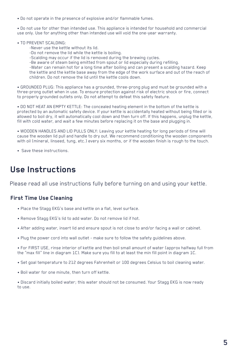• Do not operate in the presence of explosive and/or flammable fumes.

• Do not use for other than intended use. This appliance is intended for household and commercial use only. Use for anything other than intended use will void the one-year warranty.

- TO PREVENT SCALDING:
	- -Never use the kettle without its lid.
	- -Do not remove the lid while the kettle is boiling.
	- -Scalding may occur if the lid is removed during the brewing cycles.
	- -Be aware of steam being emitted from spout or lid especially during refilling.

-Water can remain hot for a long time after boiling and can present a scalding hazard. Keep the kettle and the kettle base away from the edge of the work surface and out of the reach of children. Do not remove the lid until the kettle cools down.

• GROUNDED PLUG: This appliance has a grounded, three-prong plug and must be grounded with a three-prong outlet when in use. To ensure protection against risk of electric shock or fire, connect to properly grounded outlets only. Do not attempt to defeat this safety feature.

• DO NOT HEAT AN EMPTY KETTLE: The concealed heating element in the bottom of the kettle is protected by an automatic safety device. If your kettle is accidentally heated without being filled or is allowed to boil dry, it will automatically cool down and then turn off. If this happens, unplug the kettle, fill with cold water, and wait a few minutes before replacing it on the base and plugging in.

• WOODEN HANDLES AND LID PULLS ONLY: Leaving your kettle heating for long periods of time will cause the wooden lid pull and handle to dry out. We recommend conditioning the wooden components with oil (mineral, linseed, tung, etc.) every six months, or if the wooden finish is rough to the touch.

• Save these instructions.

## **Use Instructions**

Please read all use instructions fully before turning on and using your kettle.

## **First Time Use Cleaning**

- Place the Stagg EKG's base and kettle on a flat, level surface.
- Remove Stagg EKG's lid to add water. Do not remove lid if hot.
- After adding water, insert lid and ensure spout is not close to and/or facing a wall or cabinet.
- Plug the power cord into wall outlet make sure to follow the safety guidelines above.

• For FIRST USE, rinse interior of kettle and then boil small amount of water (approx halfway full from the "max fill" line in diagram 1C). Make sure you fill to at least the min fill point in diagram 1C.

- Set goal temperature to 212 degrees Fahrenheit or 100 degrees Celsius to boil cleaning water.
- Boil water for one minute, then turn off kettle.

• Discard initially boiled water; this water should not be consumed. Your Stagg EKG is now ready to use.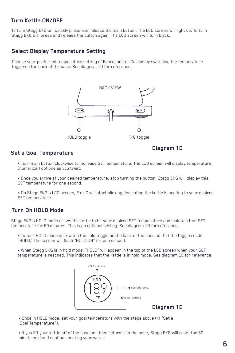## **Turn Kettle ON/OFF**

To turn Stagg EKG on, quickly press and release the main button. The LCD screen will light up. To turn Stagg EKG off, press and release the button again. The LCD screen will turn black.

### **Select Display Temperature Setting**

Choose your preferred temperature setting of Fahrenheit or Celsius by switching the temperature toggle on the back of the base. See diagram 1D for reference.



### **Set a Goal Temperature**

**Diagram 1D**

• Turn main button clockwise to increase SET temperature. The LCD screen will display temperature (numerical) options as you twist.

• Once you arrive at your desired temperature, stop turning the button. Stagg EKG will display this SET temperature for one second.

• On Stagg EKG's LCD screen, F or C will start blinking, indicating the kettle is heating to your desired SET temperature.

## **Turn On HOLD Mode**

Stagg EKG's HOLD mode allows the kettle to hit your desired SET temperature and maintain that SET temperature for 60 minutes. This is an optional setting. See diagram 1D for reference.

• To turn HOLD mode on, switch the hold toggle on the back of the base so that the toggle reads "HOLD." The screen will flash "HOLD ON" for one second.

• When Stagg EKG is in hold mode, "HOLD" will appear in the top of the LCD screen when your SET temperature is reached. This indicates that the kettle is in hold mode. See diagram 1E for reference.



**Diagram 1E**

• Once in HOLD mode, set your goal temperature with the steps above (in "Set a Goal Temperature").

• If you lift your kettle off of the base and then return it to the base, Stagg EKG will reset the 60 minute hold and continue heating your water.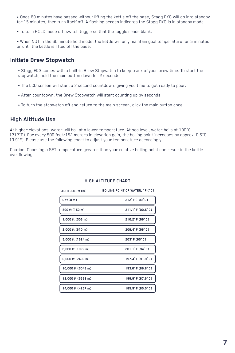• Once 60 minutes have passed without lifting the kettle off the base, Stagg EKG will go into standby for 15 minutes, then turn itself off. A flashing screen indicates the Stagg EKG is in standby mode.

• To turn HOLD mode off, switch toggle so that the toggle reads blank.

• When NOT in the 60 minute hold mode, the kettle will only maintain goal temperature for 5 minutes or until the kettle is lifted off the base.

#### **Initiate Brew Stopwatch**

• Stagg EKG comes with a built-in Brew Stopwatch to keep track of your brew time. To start the stopwatch, hold the main button down for 2 seconds.

- The LCD screen will start a 3 second countdown, giving you time to get ready to pour.
- After countdown, the Brew Stopwatch will start counting up by seconds.
- To turn the stopwatch off and return to the main screen, click the main button once.

### **High Altitude Use**

At higher elevations, water will boil at a lower temperature. At sea level, water boils at 100°C (212°F). For every 500 feet/152 meters in elevation gain, the boiling point increases by approx. 0.5°C (0.9°F). Please use the following chart to adjust your temperature accordingly.

Caution: Choosing a SET temperature greater than your relative boiling point can result in the kettle overflowing.

| ALTITUDE, ft (m)   | BOILING POINT OF WATER, "F ("C) |
|--------------------|---------------------------------|
| $0$ ft $(0m)$      | 212°F (100°C)                   |
| 500 ft (150 m)     | 211.1°F (99.5°C)                |
| 1,000 ft (305 m)   | 210.2°F (99°C)                  |
| $2.000$ ft (610 m) | 208.4°F (98°C)                  |
| 5,000 ft (1524 m)  | 203°F (95°C)                    |
| 6,000 ft (1829 m)  | 201.1°F (94°C)                  |
| 8,000 ft (2438 m)  | 197.4°F (91.9°C)                |
| 10,000 ft (3048 m) | 193.6°F (89.8°C)                |
| 12.000 ft (3658 m) | 189.8°F (87.6°C)                |
| 14,000 ft (4267 m) | 185.9°F (85.5°C)                |

#### **HIGH ALTITUDE CHART**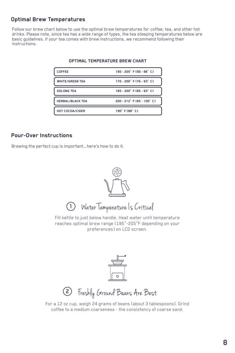## **Optimal Brew Temperatures**

Follow our brew chart below to use the optimal brew temperatures for coffee, tea, and other hot drinks. Please note, since tea has a wide range of types, the tea steeping temperatures below are basic guidelines. If your tea comes with brew instructions, we recommend following their instructions.

| COFFEE                  | 195 - 205° F (90 - 96° C)  |
|-------------------------|----------------------------|
| <b>WHITE/GREEN TEA</b>  | 170 - 200° F (76 - 93° C)  |
| <b>OOLONG TEA</b>       | 185 - 200° F (85 - 93° C)  |
| <b>HERBAL/BLACK TEA</b> | 200 - 212° F (85 - 100° C) |
| HOT COCOA/CIDER         | 190° F (88° C)             |

#### **OPTIMAL TEMPERATURE BREW CHART**

## **Pour-Over Instructions**

Brewing the perfect cup is important...here's how to do it.



Fill kettle to just below handle. Heat water until temperature reaches optimal brew range (195°-205°F depending on your preferences) on LCD screen.



Freshly Ground Beans Are Best

For a 12 oz cup, weigh 24 grams of beans (about 3 tablespoons). Grind coffee to a medium coarseness - the consistency of coarse sand.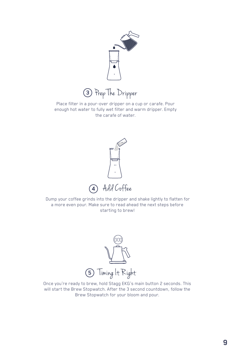

3 Prep The Dripper

Place filter in a pour-over dripper on a cup or carafe. Pour enough hot water to fully wet filter and warm dripper. Empty the carafe of water.



 Dump your coffee grinds into the dripper and shake lightly to flatten for a more even pour. Make sure to read ahead the next steps before starting to brew!



Once you're ready to brew, hold Stagg EKG's main button 2 seconds. This will start the Brew Stopwatch. After the 3 second countdown, follow the Brew Stopwatch for your bloom and pour.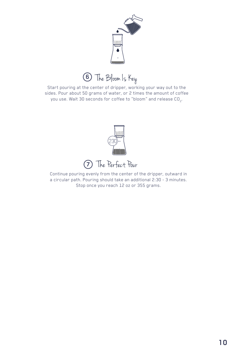

The Bloom Is Key **6**

Start pouring at the center of dripper, working your way out to the sides. Pour about 50 grams of water, or 2 times the amount of coffee you use. Wait 30 seconds for coffee to "bloom" and release CO $_{_2}$ .



The Perfect Pour **7**

Continue pouring evenly from the center of the dripper, outward in a circular path. Pouring should take an additional 2:30 - 3 minutes. Stop once you reach 12 oz or 355 grams.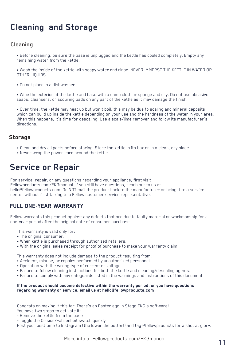## **Cleaning and Storage**

## **Cleaning**

- Before cleaning, be sure the base is unplugged and the kettle has cooled completely. Empty any remaining water from the kettle.
- Wash the inside of the kettle with soapy water and rinse. NEVER IMMERSE THE KETTLE IN WATER OR OTHER LIQUIDS.
- Do not place in a dishwasher.
- Wipe the exterior of the kettle and base with a damp cloth or sponge and dry. Do not use abrasive soaps, cleansers, or scouring pads on any part of the kettle as it may damage the finish.
- Over time, the kettle may heat up but won't boil; this may be due to scaling and mineral deposits which can build up inside the kettle depending on your use and the hardness of the water in your area. When this happens, it's time for descaling. Use a scale/lime remover and follow its manufacturer's directions.

### **Storage**

- Clean and dry all parts before storing. Store the kettle in its box or in a clean, dry place.
- Never wrap the power cord around the kettle.

## **Service or Repair**

For service, repair, or any questions regarding your appliance, first visit Fellowproducts.com/EKGmanual. If you still have questions, reach out to us at hello@fellowproducts.com. Do NOT mail the product back to the manufacturer or bring it to a service center without first talking to a Fellow customer service representative.

## **FULL ONE-YEAR WARRANTY**

Fellow warrants this product against any defects that are due to faulty material or workmanship for a one-year period after the original date of consumer purchase.

This warranty is valid only for:

- The original consumer.
- When kettle is purchased through authorized retailers.
- With the original sales receipt for proof of purchase to make your warranty claim.

This warranty does not include damage to the product resulting from:

- Accident, misuse, or repairs performed by unauthorized personnel.
- Operation with the wrong type of current or voltage.
- Failure to follow cleaning instructions for both the kettle and cleaning/descaling agents.
- Failure to comply with any safeguards listed in the warnings and instructions of this document.

#### **If the product should become defective within the warranty period, or you have questions regarding warranty or service, email us at hello@fellowproducts.com**

Congrats on making it this far. There's an Easter egg in Stagg EKG's software! You have two steps to activate it:

- Remove the kettle from the base
- Toggle the Celsius/Fahrenheit switch quickly

Post your best time to Instagram (the lower the better!) and tag @fellowproducts for a shot at glory.